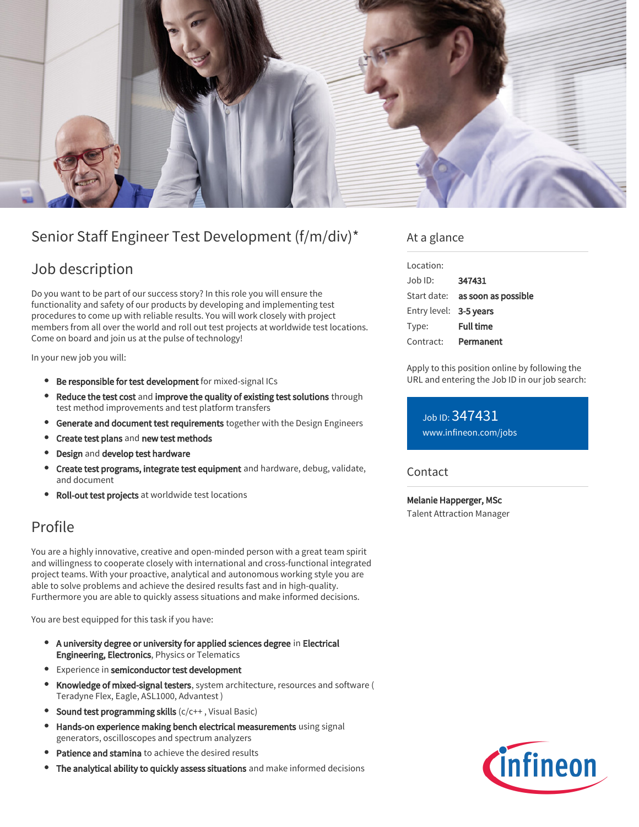

# Senior Staff Engineer Test Development (f/m/div)\*

## Job description

Do you want to be part of our success story? In this role you will ensure the functionality and safety of our products by developing and implementing test procedures to come up with reliable results. You will work closely with project members from all over the world and roll out test projects at worldwide test locations. Come on board and join us at the pulse of technology!

In your new job you will:

- **Be responsible for test development** for mixed-signal ICs
- Reduce the test cost and improve the quality of existing test solutions through test method improvements and test platform transfers
- **Generate and document test requirements** together with the Design Engineers
- $\bullet$ Create test plans and new test methods
- Design and develop test hardware
- Create test programs, integrate test equipment and hardware, debug, validate, and document
- Roll-out test projects at worldwide test locations

### Profile

You are a highly innovative, creative and open-minded person with a great team spirit and willingness to cooperate closely with international and cross-functional integrated project teams. With your proactive, analytical and autonomous working style you are able to solve problems and achieve the desired results fast and in high-quality. Furthermore you are able to quickly assess situations and make informed decisions.

You are best equipped for this task if you have:

- A university degree or university for applied sciences degree in Electrical Engineering, Electronics, Physics or Telematics
- Experience in semiconductor test development
- Knowledge of mixed-signal testers, system architecture, resources and software ( Teradyne Flex, Eagle, ASL1000, Advantest )
- Sound test programming skills (c/c++, Visual Basic)
- Hands-on experience making bench electrical measurements using signal generators, oscilloscopes and spectrum analyzers
- Patience and stamina to achieve the desired results
- The analytical ability to quickly assess situations and make informed decisions

### At a glance

| Location:              |                                        |
|------------------------|----------------------------------------|
| Job ID:                | 347431                                 |
|                        | Start date: <b>as soon as possible</b> |
| Entry level: 3-5 years |                                        |
| Type:                  | <b>Full time</b>                       |
| Contract:              | Permanent                              |

Apply to this position online by following the URL and entering the Job ID in our job search:

Job ID: 347431 [www.infineon.com/jobs](https://www.infineon.com/jobs)

#### Contact

Melanie Happerger, MSc Talent Attraction Manager